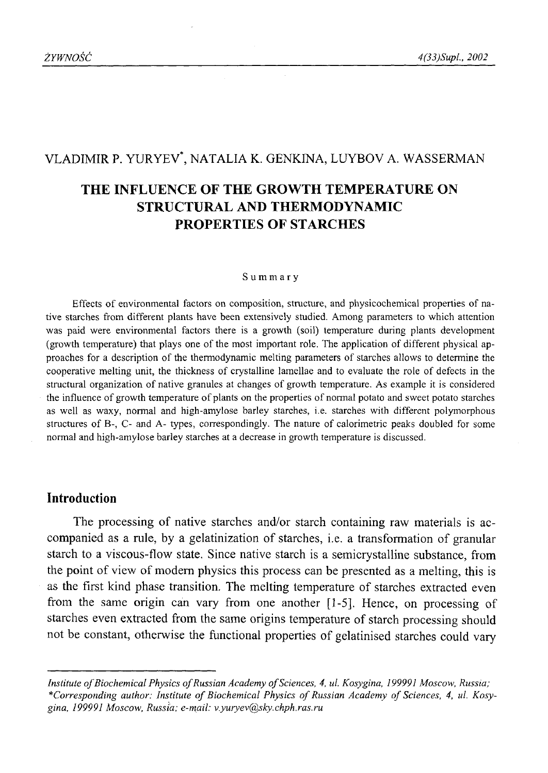# VLADIMIR P. YURYEV\*, NATALIA K. GENKINA, LUYBOV A. WASSERMAN

# **THE INFLUENCE OF THE GROWTH TEMPERATURE ON STRUCTURAL AND THERMODYNAMIC PROPERTIES OF STARCHES**

#### Summary

Effects of environmental factors on composition, structure, and physicochemical properties of native starches from different plants have been extensively studied. Among parameters to which attention was paid were environmental factors there is a growth (soil) temperature during plants development (growth temperature) that plays one of the most important role. The application of different physical approaches for a description of the thermodynamic melting parameters of starches allows to determine the cooperative melting unit, the thickness of crystalline lamellae and to evaluate the role of defects in the structural organization of native granules at changes of growth temperature. As example it is considered the influence of growth temperature of plants on the properties of normal potato and sweet potato starches as well as waxy, normal and high-amylose barley starches, i.e. starches with different polymorphous structures of B-, C- and A- types, correspondingly. The nature of calorimetric peaks doubled for some normal and high-amylose barley starches at a decrease in growth temperature is discussed.

## **Introduction**

The processing of native starches and/or starch containing raw materials is accompanied as a rule, by a gelatinization of starches, i.e. a transformation of granular starch to a viscous-flow state. Since native starch is a semicrystalline substance, from the point of view of modem physics this process can be presented as a melting, this is as the first kind phase transition. The melting temperature of starches extracted even from the same origin can vary from one another [1-5]. Hence, on processing of starches even extracted from the same origins temperature of starch processing should not be constant, otherwise the functional properties of gelatinised starches could vary

*Institute of Biochemical Physics of Russian Academy of Sciences, 4, ul. Kosygina, 199991 Moscow, Russia;* \*Corresponding author: Institute of Biochemical Physics of Russian Academy of Sciences, 4, ul. Kosy*gina, 199991 Moscow, Russia; e-mail: [v.yuryev@sky.chph.ras.ru](mailto:v.yuryev@sky.chph.ras.ru)*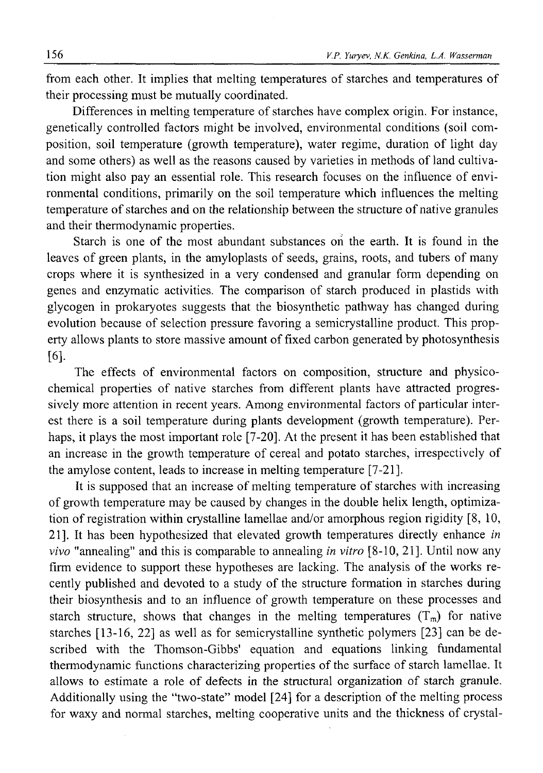from each other. It implies that melting temperatures of starches and temperatures of their processing must be mutually coordinated.

Differences in melting temperature of starches have complex origin. For instance, genetically controlled factors might be involved, environmental conditions (soil composition, soil temperature (growth temperature), water regime, duration of light day and some others) as well as the reasons caused by varieties in methods of land cultivation might also pay an essential role. This research focuses on the influence of environmental conditions, primarily on the soil temperature which influences the melting temperature of starches and on the relationship between the structure of native granules and their thermodynamic properties.

Starch is one of the most abundant substances on the earth. It is found in the leaves of green plants, in the amyloplasts of seeds, grains, roots, and tubers of many crops where it is synthesized in a very condensed and granular form depending on genes and enzymatic activities. The comparison of starch produced in plastids with glycogen in prokaryotes suggests that the biosynthetic pathway has changed during evolution because of selection pressure favoring a semicrystalline product. This property allows plants to store massive amount of fixed carbon generated by photosynthesis [**6**].

The effects of environmental factors on composition, structure and physicochemical properties of native starches from different plants have attracted progressively more attention in recent years. Among environmental factors of particular interest there is a soil temperature during plants development (growth temperature). Perhaps, it plays the most important role [7-20]. At the present it has been established that an increase in the growth temperature of cereal and potato starches, irrespectively of the amylose content, leads to increase in melting temperature [7-21],

It is supposed that an increase of melting temperature of starches with increasing of growth temperature may be caused by changes in the double helix length, optimization of registration within crystalline lamellae and/or amorphous region rigidity [8, 10, 21]. It has been hypothesized that elevated growth temperatures directly enhance *in vivo* "annealing" and this is comparable to annealing *in vitro* [8-10, 21], Until now any firm evidence to support these hypotheses are lacking. The analysis of the works recently published and devoted to a study of the structure formation in starches during their biosynthesis and to an influence of growth temperature on these processes and starch structure, shows that changes in the melting temperatures  $(T_m)$  for native starches [13-16, 22] as well as for semicrystalline synthetic polymers [23] can be described with the Thomson-Gibbs' equation and equations linking fundamental thermodynamic functions characterizing properties of the surface of starch lamellae. It allows to estimate a role of defects in the structural organization of starch granule. Additionally using the "two-state" model [24] for a description of the melting process for waxy and normal starches, melting cooperative units and the thickness of crystal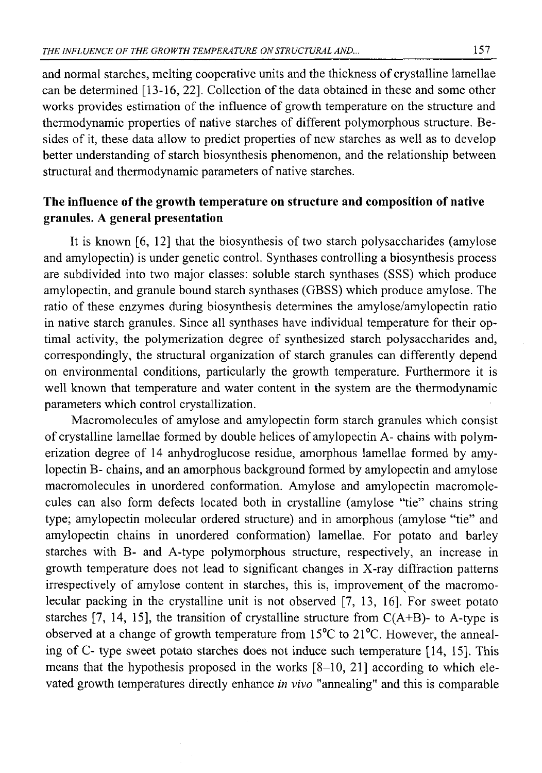and normal starches, melting cooperative units and the thickness of crystalline lamellae can be determined [13-16, 22]. Collection of the data obtained in these and some other works provides estimation of the influence of growth temperature on the structure and thermodynamic properties of native starches of different polymorphous structure. Besides of it, these data allow to predict properties of new starches as well as to develop better understanding of starch biosynthesis phenomenon, and the relationship between structural and thermodynamic parameters of native starches.

## **The influence of the growth temperature on structure and composition of native granules. A general presentation**

It is known [6, 12] that the biosynthesis of two starch polysaccharides (amylose and amylopectin) is under genetic control. Synthases controlling a biosynthesis process are subdivided into two major classes: soluble starch synthases (SSS) which produce amylopectin, and granule bound starch synthases (GBSS) which produce amylose. The ratio of these enzymes during biosynthesis determines the amylose/amylopectin ratio in native starch granules. Since all synthases have individual temperature for their optimal activity, the polymerization degree of synthesized starch polysaccharides and, correspondingly, the structural organization of starch granules can differently depend on environmental conditions, particularly the growth temperature. Furthermore it is well known that temperature and water content in the system are the thermodynamic parameters which control crystallization.

Macromolecules of amylose and amylopectin form starch granules which consist of crystalline lamellae formed by double helices of amylopectin A- chains with polymerization degree of 14 anhydroglucose residue, amorphous lamellae formed by amylopectin B- chains, and an amorphous background formed by amylopectin and amylose macromolecules in unordered conformation. Amylose and amylopectin macromolecules can also form defects located both in crystalline (amylose "tie" chains string type; amylopectin molecular ordered structure) and in amorphous (amylose "tie" and amylopectin chains in unordered conformation) lamellae. For potato and barley starches with B- and A-type polymorphous structure, respectively, an increase in growth temperature does not lead to significant changes in X-ray diffraction patterns irrespectively of amylose content in starches, this is, improvement of the macromolecular packing in the crystalline unit is not observed [7, 13, 16]. For sweet potato starches [7, 14, 15], the transition of crystalline structure from  $C(A+B)$ - to A-type is observed at a change of growth temperature from 15°C to 21°C. However, the annealing of C- type sweet potato starches does not induce such temperature [14, 15]. This means that the hypothesis proposed in the works [8-10, 21] according to which elevated growth temperatures directly enhance *in vivo* "annealing" and this is comparable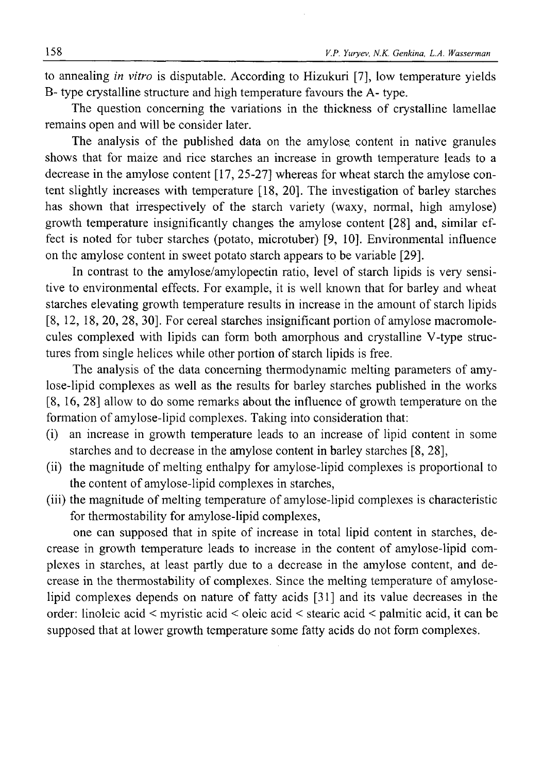to annealing *in vitro* is disputable. According to Hizukuri [7], low temperature yields B- type crystalline structure and high temperature favours the A- type.

The question concerning the variations in the thickness of crystalline lamellae remains open and will be consider later.

The analysis of the published data on the amylose. content in native granules shows that for maize and rice starches an increase in growth temperature leads to a decrease in the amylose content [17, 25-27] whereas for wheat starch the amylose content slightly increases with temperature [18, 20]. The investigation of barley starches has shown that irrespectively of the starch variety (waxy, normal, high amylose) growth temperature insignificantly changes the amylose content [28] and, similar effect is noted for tuber starches (potato, microtuber) [9, 10]. Environmental influence on the amylose content in sweet potato starch appears to be variable [29].

In contrast to the amylose/amylopectin ratio, level of starch lipids is very sensitive to environmental effects. For example, it is well known that for barley and wheat starches elevating growth temperature results in increase in the amount of starch lipids [8, 12, 18, 20, 28, 30]. For cereal starches insignificant portion of amylose macromolecules complexed with lipids can form both amorphous and crystalline V-type structures from single helices while other portion of starch lipids is free.

The analysis of the data concerning thermodynamic melting parameters of amylose-lipid complexes as well as the results for barley starches published in the works [8, 16, 28] allow to do some remarks about the influence of growth temperature on the formation of amylose-lipid complexes. Taking into consideration that:

- (i) an increase in growth temperature leads to an increase of lipid content in some starches and to decrease in the amylose content in barley starches [8, 28],
- (ii) the magnitude of melting enthalpy for amylose-lipid complexes is proportional to the content of amylose-lipid complexes in starches,
- (iii) the magnitude of melting temperature of amylose-lipid complexes is characteristic for thermostability for amylose-lipid complexes,

one can supposed that in spite of increase in total lipid content in starches, decrease in growth temperature leads to increase in the content of amylose-lipid complexes in starches, at least partly due to a decrease in the amylose content, and decrease in the thermostability of complexes. Since the melting temperature of amyloselipid complexes depends on nature of fatty acids [31] and its value decreases in the order: linoleic acid < myristic acid < oleic acid < stearic acid < palmitic acid, it can be supposed that at lower growth temperature some fatty acids do not form complexes.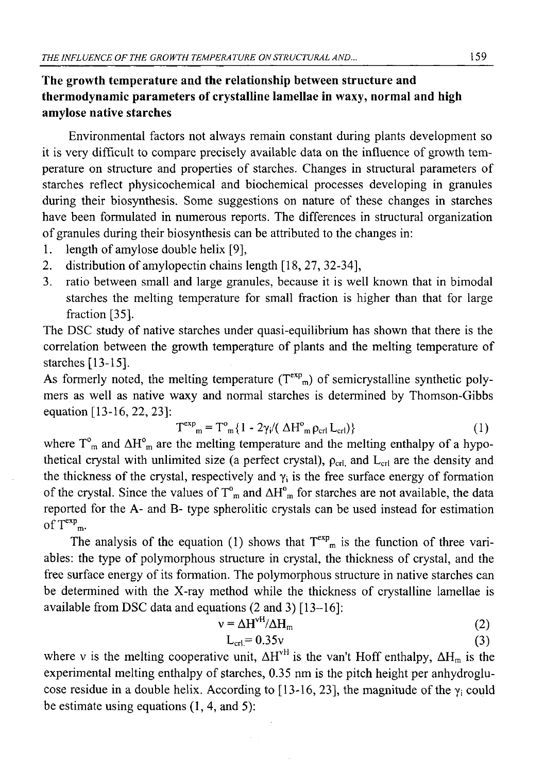## **The growth temperature and the relationship between structure and thermodynamic parameters of crystalline lamellae in waxy, normal and high amylose native starches**

Environmental factors not always remain constant during plants development so it is very difficult to compare precisely available data on the influence of growth temperature on structure and properties of starches. Changes in structural parameters of starches reflect physicochemical and biochemical processes developing in granules during their biosynthesis. Some suggestions on nature of these changes in starches have been formulated in numerous reports. The differences in structural organization of granules during their biosynthesis can be attributed to the changes in:

- 1. length of amylose double helix [9],
- 2. distribution of amylopectin chains length [18, 27, 32-34],
- 3. ratio between small and large granules, because it is well known that in bimodal starches the melting temperature for small fraction is higher than that for large fraction [35].

The DSC study of native starches under quasi-equilibrium has shown that there is the correlation between the growth temperature of plants and the melting temperature of starches [13-15].

As formerly noted, the melting temperature  $(T^{exp}_{m})$  of semicrystalline synthetic polymers as well as native waxy and normal starches is determined by Thomson-Gibbs equation [13-16, 22, 23]:

$$
T^{\exp}_{m} = T^{\circ}_{m} \{ 1 - 2\gamma_i / (\Delta H^{\circ}_{m} \rho_{\text{crl}} L_{\text{crl}}) \}
$$
 (1)

where  $T<sup>o</sup><sub>m</sub>$  and  $\Delta H<sup>o</sup><sub>m</sub>$  are the melting temperature and the melting enthalpy of a hypothetical crystal with unlimited size (a perfect crystal),  $\rho_{\text{crl}}$  and  $L_{\text{crl}}$  are the density and the thickness of the crystal, respectively and  $\gamma_i$  is the free surface energy of formation of the crystal. Since the values of  $T<sup>o</sup><sub>m</sub>$  and  $\Delta H<sup>o</sup><sub>m</sub>$  for starches are not available, the data reported for the A- and B- type spherolitic crystals can be used instead for estimation of  $T^{exp}$ <sub>m</sub>.

The analysis of the equation (1) shows that  $T^{exp}_{m}$  is the function of three variables: the type of polymorphous structure in crystal, the thickness of crystal, and the free surface energy of its formation. The polymorphous structure in native starches can be determined with the X-ray method while the thickness of crystalline lamellae is available from DSC data and equations (2 and 3) [13—16]:

$$
v = \Delta H^{vH}/\Delta H_m
$$
 (2)

$$
L_{\rm crl} = 0.35v \tag{3}
$$

where v is the melting cooperative unit,  $\Delta H^{\text{vH}}$  is the van't Hoff enthalpy,  $\Delta H_m$  is the experimental melting enthalpy of starches, 0.35 nm is the pitch height per anhydroglucose residue in a double helix. According to [13-16, 23], the magnitude of the  $\gamma_i$  could be estimate using equations (1,4, and 5):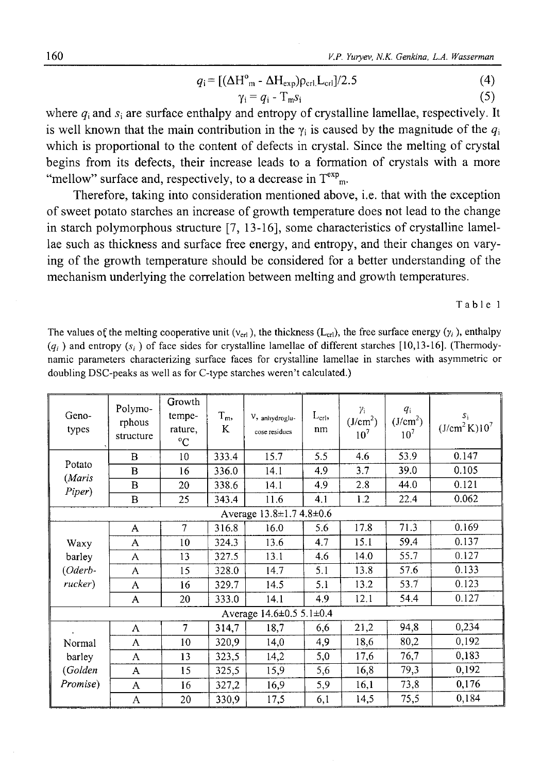$$
q_i = [(\Delta H^o_{m} - \Delta H_{exp})\rho_{\rm cri}L_{\rm cri}]/2.5 \tag{4}
$$

$$
\gamma_i = q_i - T_m s_i \tag{5}
$$

where  $q_i$  and  $s_i$  are surface enthalpy and entropy of crystalline lamellae, respectively. It is well known that the main contribution in the  $\gamma_i$  is caused by the magnitude of the  $q_i$ which is proportional to the content of defects in crystal. Since the melting of crystal begins from its defects, their increase leads to a formation of crystals with a more "mellow" surface and, respectively, to a decrease in  $T^{exp}$ <sub>m</sub>.

Therefore, taking into consideration mentioned above, i.e. that with the exception of sweet potato starches an increase of growth temperature does not lead to the change in starch polymorphous structure [7, 13-16], some characteristics of crystalline lamellae such as thickness and surface free energy, and entropy, and their changes on varying of the growth temperature should be considered for a better understanding of the mechanism underlying the correlation between melting and growth temperatures.

Table 1

The values of the melting cooperative unit ( $v_{\rm crl}$ ), the thickness ( $L_{\rm crl}$ ), the free surface energy ( $y_i$ ), enthalpy  $(q_i)$  and entropy  $(s_i)$  of face sides for crystalline lamellae of different starches [10,13-16]. (Thermodynamic parameters characterizing surface faces for crystalline lamellae in starches with asymmetric or doubling DSC-peaks as well as for C-type starches weren't calculated.)

| Geno-<br>types                          | Polymo-<br>rphous<br>structure | Growth<br>tempe-<br>rature,<br>$^{\circ}C$ | $T_m$<br>K    | $V$ , anhydroglu-<br>cose residues | $L_{\text{crl}},$<br>nm | $\gamma_i$<br>(J/cm <sup>2</sup> )<br>10 <sup>7</sup> | $q_i$<br>(J/cm <sup>2</sup> )<br>10 <sup>7</sup> | $S_1$<br>(J/cm <sup>2</sup> K)10 <sup>7</sup> |  |  |
|-----------------------------------------|--------------------------------|--------------------------------------------|---------------|------------------------------------|-------------------------|-------------------------------------------------------|--------------------------------------------------|-----------------------------------------------|--|--|
| Potato<br>(Maris<br>Piper)              | B                              | 10                                         | 333.4         | 15.7                               | 5.5                     | 4.6                                                   | 53.9                                             | 0.147                                         |  |  |
|                                         | $\bf{B}$                       | 16                                         | 336.0         | 14.1                               | 4.9                     | 3.7                                                   | 39.0                                             | 0.105                                         |  |  |
|                                         | B                              | 20                                         | 338.6<br>14.1 |                                    | 4.9                     | 2.8                                                   | 44.0                                             | 0.121                                         |  |  |
|                                         | B                              | 25                                         | 343.4         | 11.6                               | 4.1                     | 1.2                                                   | 22.4                                             | 0.062                                         |  |  |
| Average $13.8 \pm 1.74.8 \pm 0.6$       |                                |                                            |               |                                    |                         |                                                       |                                                  |                                               |  |  |
| Waxy<br>barley<br>$(Oderb -$<br>rucker) | A                              | 7                                          | 316.8         | 16.0                               | 5.6                     | 17.8                                                  | 71.3                                             | 0.169                                         |  |  |
|                                         | A                              | 10                                         | 324.3         | 13.6                               | 4.7                     | 15.1                                                  | 59.4                                             | 0.137                                         |  |  |
|                                         | A                              | 13                                         | 327.5         | 13.1                               | 4.6                     | 14.0                                                  | 55.7                                             | 0.127                                         |  |  |
|                                         | A                              | 15                                         | 328.0         | 14.7                               | 5.1                     | 13.8                                                  | 57.6                                             | 0.133                                         |  |  |
|                                         | A                              | 16                                         | 329.7         | 14.5                               | 5.1                     | 13.2                                                  | 53.7                                             | 0.123                                         |  |  |
|                                         | A                              | 20                                         | 333.0         | 14.1                               | 4.9                     | 12.1                                                  | 54.4                                             | 0.127                                         |  |  |
| Average 14.6±0.5 5.1±0.4                |                                |                                            |               |                                    |                         |                                                       |                                                  |                                               |  |  |
| Normal<br>barley<br>(Golden<br>Promise) | A                              | $\overline{7}$                             | 314,7         | 18,7                               | 6,6                     | 21,2                                                  | 94,8                                             | 0,234                                         |  |  |
|                                         | A                              | 10                                         | 320.9         | 14,0                               | 4,9                     | 18,6                                                  | 80,2                                             | 0,192                                         |  |  |
|                                         | A                              | 13                                         | 323,5         | 14,2                               | 5,0                     | 17,6                                                  | 76,7                                             | 0,183                                         |  |  |
|                                         | A                              | 15                                         | 325,5         | 15,9                               | 5,6                     | 16,8                                                  | 79,3                                             | 0,192                                         |  |  |
|                                         | A                              | 16                                         | 327,2         | 16,9                               | 5,9                     | 16,1                                                  | 73,8                                             | 0,176                                         |  |  |
|                                         | A                              | 20                                         | 330,9         | 17,5                               | 6,1                     | 14,5                                                  | 75,5                                             | 0,184                                         |  |  |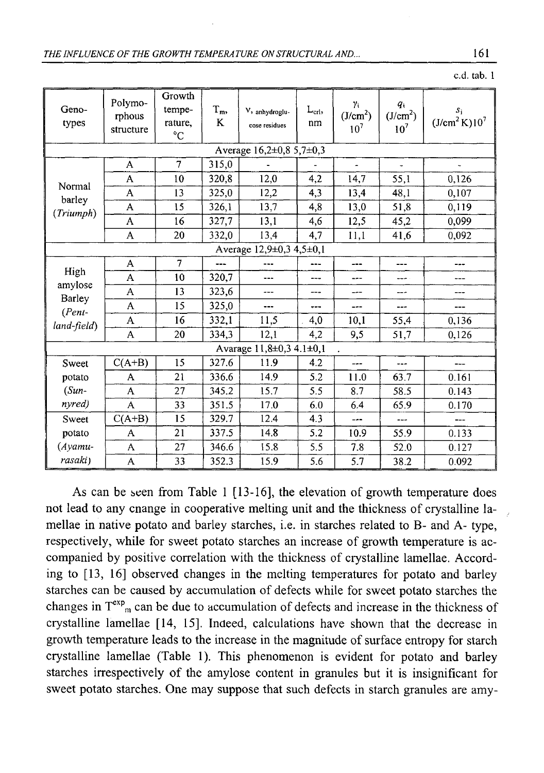| Geno-<br>types                                       | Polymo-<br>rphous<br>structure | Growth<br>tempe-<br>rature,<br>$^{\circ}C$ | $T_{m}$<br>K  | V, anhydroglu-<br>cose residues | $L_{\text{crb}}$<br>nm | γi<br>(J/cm <sup>2</sup> )<br>10 <sup>7</sup> | $q_i$<br>(J/cm <sup>2</sup> )<br>10 <sup>7</sup> | $S_i$<br>(J/cm <sup>2</sup> K)10 <sup>7</sup> |  |  |  |
|------------------------------------------------------|--------------------------------|--------------------------------------------|---------------|---------------------------------|------------------------|-----------------------------------------------|--------------------------------------------------|-----------------------------------------------|--|--|--|
| Average $16,2\pm0,85,7\pm0,3$                        |                                |                                            |               |                                 |                        |                                               |                                                  |                                               |  |  |  |
| Normal<br>barley<br>(Triumph)                        | A                              | $\overline{7}$                             | 315,0         |                                 |                        |                                               |                                                  |                                               |  |  |  |
|                                                      | A                              | 10                                         | 320,8         | 12,0                            | 4.2                    | 14,7                                          | 55,1                                             | 0,126                                         |  |  |  |
|                                                      | A                              | 13                                         | 12,2<br>325.0 |                                 | 4,3                    | 13,4                                          | 48,1                                             | 0,107                                         |  |  |  |
|                                                      | A                              | 15                                         | 326,1         | 13,7                            | 4,8                    | 13,0                                          | 51,8                                             | 0,119                                         |  |  |  |
|                                                      | A                              | 16                                         | 327,7         | 13,1                            | 4,6                    | 12,5                                          | 45,2                                             | 0,099                                         |  |  |  |
|                                                      | A                              | 20                                         | 332,0         | 13,4                            | 4,7                    | 11,1                                          | 41,6                                             | 0,092                                         |  |  |  |
| Average 12,9±0,3 4,5±0,1                             |                                |                                            |               |                                 |                        |                                               |                                                  |                                               |  |  |  |
| High<br>amylose<br>Barley<br>$(Pent-$<br>land-field) | A                              | 7                                          |               | ---                             |                        | $- - -$                                       | $---$                                            | ---                                           |  |  |  |
|                                                      | A                              | 10                                         | 320,7         | ---                             |                        | ---                                           | ---                                              | ---                                           |  |  |  |
|                                                      | A                              | 13                                         | 323,6         | ---                             | ---                    | ---                                           | ---                                              | ---                                           |  |  |  |
|                                                      | A                              | 15                                         | 325,0         | ---                             | <b>+++</b>             | ---                                           | $---$                                            | ---                                           |  |  |  |
|                                                      | A                              | 16                                         | 332,1         | 11,5                            | 4,0                    | 10,1                                          | 55,4                                             | 0.136                                         |  |  |  |
|                                                      | A                              | 20                                         | 334,3         | 12,1                            | 4.2                    | 9,5                                           | 51,7                                             | 0,126                                         |  |  |  |
| Avarage $11,8\pm0,3$ 4.1 $\pm0,1$                    |                                |                                            |               |                                 |                        |                                               |                                                  |                                               |  |  |  |
| Sweet                                                | $C(A+B)$                       | 15                                         | 327.6         | 11.9                            | 4.2                    | ---                                           | $- - -$                                          | ---                                           |  |  |  |
| potato                                               | A                              | 21                                         | 336.6         | 14.9                            | 5.2                    | 11.0                                          | 63.7                                             | 0.161                                         |  |  |  |
| $(Sun-$                                              | A                              | 27                                         | 345.2         | 15.7                            | 5.5                    | 8.7                                           | 58.5                                             | 0.143                                         |  |  |  |
| nyred)                                               | A                              | 33                                         | 351.5         | 17.0                            | 6.0                    | 6.4                                           | 65.9                                             | 0.170                                         |  |  |  |
| Sweet                                                | $C(A+B)$                       | 15                                         | 329.7         | 12.4                            | 4.3                    | ---                                           | ---                                              |                                               |  |  |  |
| potato                                               | A                              | 21                                         | 337.5         | 14.8                            | 5.2                    | 10.9                                          | 55.9                                             | 0.133                                         |  |  |  |
| $(A$ yamu-                                           | 27<br>15.8<br>346.6<br>A       |                                            |               | 5.5                             | 7.8                    | 52.0                                          | 0.127                                            |                                               |  |  |  |
| rasaki)                                              | A                              | 33                                         | 352.3         | 15.9                            | 5.6                    | 5.7                                           | 38.2                                             | 0.092                                         |  |  |  |

As can be seen from Table 1 [13-16], the elevation of growth temperature does not lead to any cnange in cooperative melting unit and the thickness of crystalline lamellae in native potato and barley starches, i.e. in starches related to B- and A- type, respectively, while for sweet potato starches an increase of growth temperature is accompanied by positive correlation with the thickness of crystalline lamellae. According to [13, 16] observed changes in the melting temperatures for potato and barley starches can be caused by accumulation of defects while for sweet potato starches the changes in  $T^{exp}_{m}$  can be due to accumulation of defects and increase in the thickness of crystalline lamellae [14, 15]. Indeed, calculations have shown that the decrease in growth temperature leads to the increase in the magnitude of surface entropy for starch crystalline lamellae (Table 1). This phenomenon is evident for potato and barley starches irrespectively of the amylose content in granules but it is insignificant for sweet potato starches. One may suppose that such defects in starch granules are amy-

## c.d. tab. 1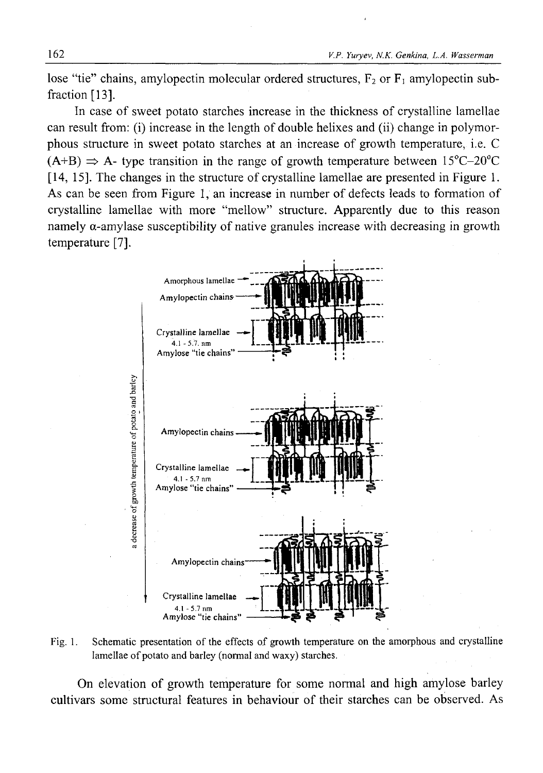lose "tie" chains, amylopectin molecular ordered structures,  $F_2$  or  $F_1$  amylopectin subfraction [13].

In case of sweet potato starches increase in the thickness of crystalline lamellae can result from: (i) increase in the length of double helixes and (ii) change in polymorphous structure in sweet potato starches at an increase of growth temperature, i.e. C  $(A+B) \Rightarrow A$ - type transition in the range of growth temperature between 15<sup>o</sup>C-20<sup>o</sup>C [14, 15]. The changes in the structure of crystalline lamellae are presented in Figure 1. As can be seen from Figure 1, an increase in number of defects leads to formation of crystalline lamellae with more "mellow" structure. Apparently due to this reason namely a-amylase susceptibility of native granules increase with decreasing in growth temperature [7].



Fig. 1. Schematic presentation of the effects of growth temperature on the amorphous and crystalline lamellae of potato and barley (normal and waxy) starches.

On elevation of growth temperature for some normal and high amylose barley cultivars some structural features in behaviour of their starches can be observed. As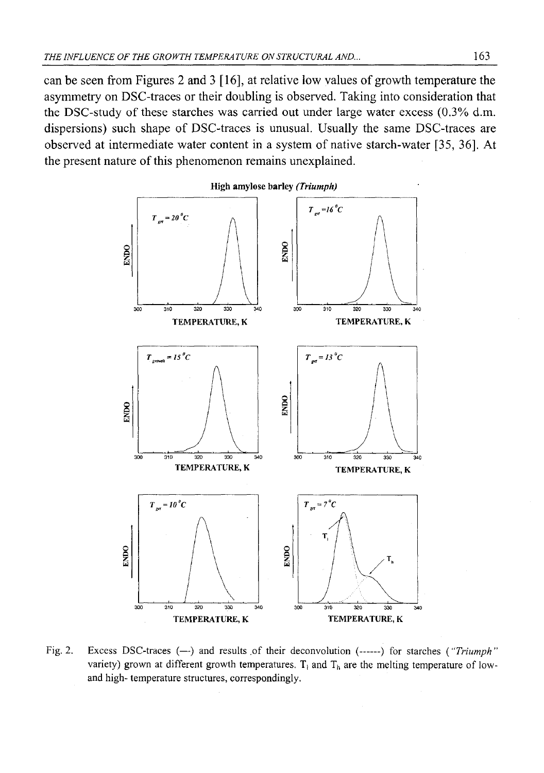can be seen from Figures 2 and 3 [16], at relative low values of growth temperature the asymmetry on DSC-traces or their doubling is observed. Taking into consideration that the DSC-study of these starches was carried out under large water excess (0.3% d.m. dispersions) such shape of DSC-traces is unusual. Usually the same DSC-traces are observed at intermediate water content in a system of native starch-water [35, 36]. At the present nature of this phenomenon remains unexplained.



Fig. 2. Excess DSC-traces (-) and results of their deconvolution (------) for starches ("Triumph" variety) grown at different growth temperatures.  $T_1$  and  $T_h$  are the melting temperature of lowand high- temperature structures, correspondingly.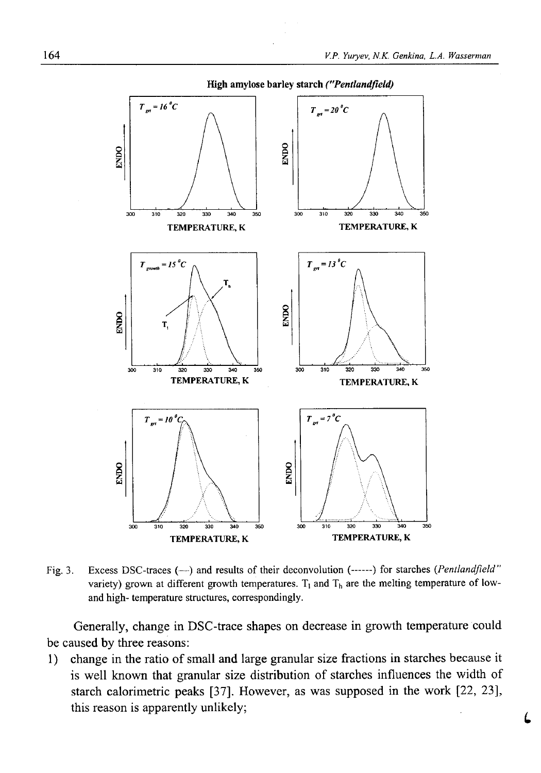

Fig. 3. Excess DSC-traces (—) and results of their deconvolution (-----) for starches *{Pentlandfield"* variety) grown at different growth temperatures.  $T_1$  and  $T_b$  are the melting temperature of lowand high- temperature structures, correspondingly.

Generally, change in DSC-trace shapes on decrease in growth temperature could be caused by three reasons:

1) change in the ratio of small and large granular size fractions in starches because it is well known that granular size distribution of starches influences the width of starch calorimetric peaks [37]. However, as was supposed in the work [22, 23], this reason is apparently unlikely;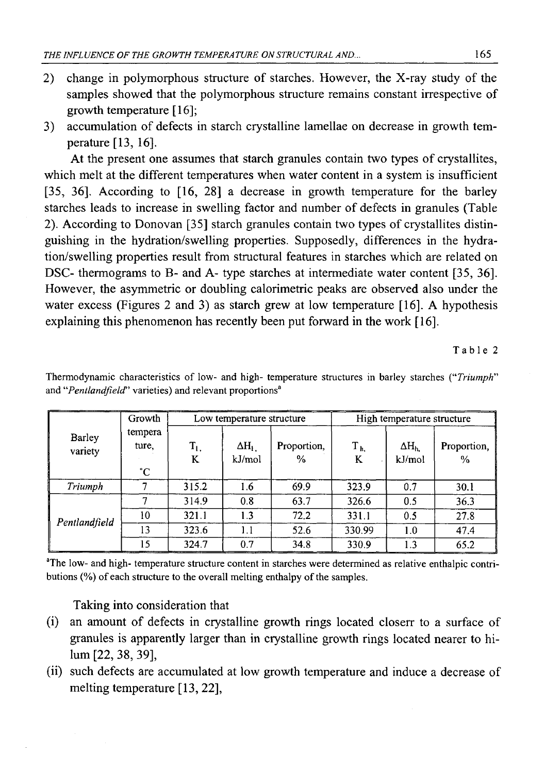- 2) change in polymorphous structure of starches. However, the X-ray study of the samples showed that the polymorphous structure remains constant irrespective of growth temperature [16];
- 3) accumulation of defects in starch crystalline lamellae on decrease in growth temperature [13, 16].

At the present one assumes that starch granules contain two types of crystallites, which melt at the different temperatures when water content in a system is insufficient [35, 36]. According to [16, 28] a decrease in growth temperature for the barley starches leads to increase in swelling factor and number of defects in granules (Table 2). According to Donovan [35] starch granules contain two types of crystallites distinguishing in the hydration/swelling properties. Supposedly, differences in the hydration/swelling properties result from structural features in starches which are related on DSC- thermograms to B- and A- type starches at intermediate water content [35, 36]. However, the asymmetric or doubling calorimetric peaks are observed also under the water excess (Figures 2 and 3) as starch grew at low temperature [16]. A hypothesis explaining this phenomenon has recently been put forward in the work [16].

#### Table 2

| Barley<br>variety | Growth                 |              | Low temperature structure |                              | High temperature structure |                        |                              |
|-------------------|------------------------|--------------|---------------------------|------------------------------|----------------------------|------------------------|------------------------------|
|                   | tempera<br>ture.<br>°С | $T_{1}$<br>K | $\Delta H_{1}$<br>kJ/mol  | Proportion,<br>$\frac{0}{0}$ | $T_{h,}$<br>K              | $\Delta H_h$<br>kJ/mol | Proportion,<br>$\frac{0}{0}$ |
| Triumph           |                        | 315.2        | 1.6                       | 69.9                         | 323.9                      | 0.7                    | 30.1                         |
|                   |                        | 314.9        | 0.8                       | 63.7                         | 326.6                      | 0.5                    | 36.3                         |
| Pentlandfield     | 10                     | 321.1        | 1.3                       | 72.2                         | 331.1                      | 0.5                    | 27.8                         |
|                   | 13                     | 323.6        | 1.1                       | 52.6                         | 330.99                     | 1.0                    | 47.4                         |
|                   | 15                     | 324.7        | 0.7                       | 34.8                         | 330.9                      | 1.3                    | 65.2                         |

Thermodynamic characteristics of low- and high- temperature structures in barley starches ("*Triumph*" and "*Pentlandfield*" varieties) and relevant proportions<sup>a</sup>

<sup>a</sup>The low- and high- temperature structure content in starches were determined as relative enthalpic contributions (%) of each structure to the overall melting enthalpy of the samples.

Taking into consideration that

- (i) an amount of defects in crystalline growth rings located closerr to a surface of granules is apparently larger than in crystalline growth rings located nearer to hilum [22, 38, 39],
- (ii) such defects are accumulated at low growth temperature and induce a decrease of melting temperature [13, 22],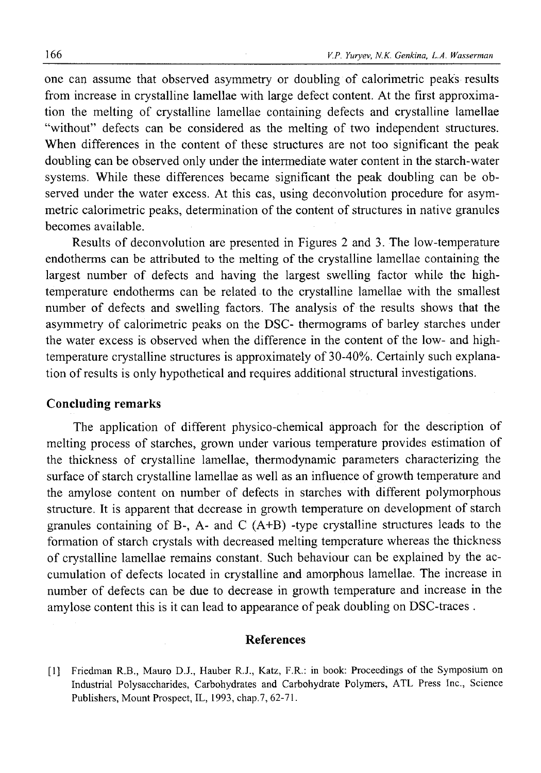one can assume that observed asymmetry or doubling of calorimetric peaks results from increase in crystalline lamellae with large defect content. At the first approximation the melting of crystalline lamellae containing defects and crystalline lamellae "without" defects can be considered as the melting of two independent structures. When differences in the content of these structures are not too significant the peak doubling can be observed only under the intermediate water content in the starch-water systems. While these differences became significant the peak doubling can be observed under the water excess. At this cas, using deconvolution procedure for asymmetric calorimetric peaks, determination of the content of structures in native granules becomes available.

Results of deconvolution are presented in Figures 2 and 3. The low-temperature endotherms can be attributed to the melting of the crystalline lamellae containing the largest number of defects and having the largest swelling factor while the hightemperature endotherms can be related to the crystalline lamellae with the smallest number of defects and swelling factors. The analysis of the results shows that the asymmetry of calorimetric peaks on the DSC- thermograms of barley starches under the water excess is observed when the difference in the content of the low- and hightemperature crystalline structures is approximately of 30-40%. Certainly such explanation of results is only hypothetical and requires additional structural investigations.

## Concluding remarks

The application of different physico-chemical approach for the description of melting process of starches, grown under various temperature provides estimation of the thickness of crystalline lamellae, thermodynamic parameters characterizing the surface of starch crystalline lamellae as well as an influence of growth temperature and the amylose content on number of defects in starches with different polymorphous structure. It is apparent that decrease in growth temperature on development of starch granules containing of B-, A- and C (A+B) -type crystalline structures leads to the formation of starch crystals with decreased melting temperature whereas the thickness of crystalline lamellae remains constant. Such behaviour can be explained by the accumulation of defects located in crystalline and amorphous lamellae. The increase in number of defects can be due to decrease in growth temperature and increase in the amylose content this is it can lead to appearance of peak doubling on DSC-traces .

### References

[1] Friedman R.B., Mauro D.J., Hauber R.J., Katz, F.R.: in book: Proceedings of the Symposium on Industrial Polysaccharides, Carbohydrates and Carbohydrate Polymers, ATL Press Inc., Science Publishers, Mount Prospect, IL, 1993, chap.7, 62-71.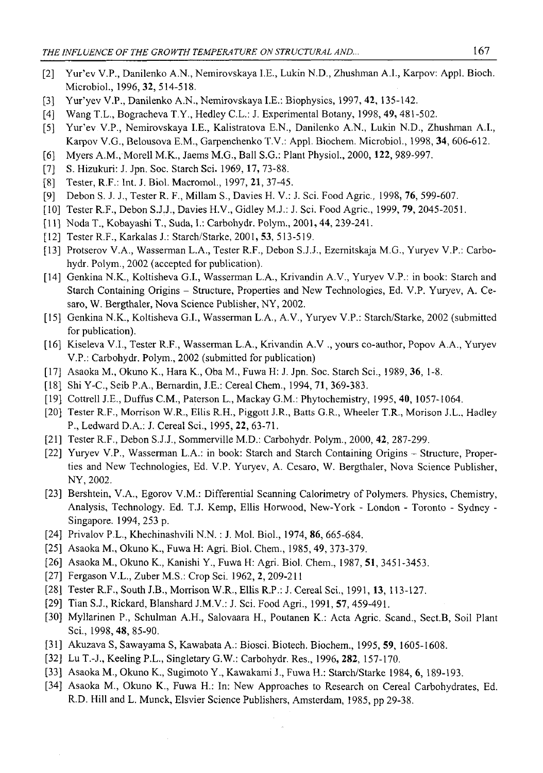- [2] Yur'ev V.P., Danilenko A.N., Nemirovskaya I.E., Lukin N.D., Zhushman A.I., Karpov: Appl. Bioch. Microbiol., 1996,32, 514-518.
- [3] Yur'yev V.P., Danilenko A.N., Nemirovskaya I.E.: Biophysics, 1997, **42,** 135-142.
- [4] Wang T.L., Bogracheva T.Y., Hedley C.L.: J. Experimental Botany, 1998, **49,** 481-502.
- [5] Yur'ev V.P., Nemirovskaya I.E., Kalistratova E.N., Danilenko A.N., Lukin N.D., Zhushman A.I., Karpov V.G., Belousova E.M., Garpenchenko T.V.: Appl. Biochem. Microbiol., 1998, 34, 606-612.
- [6] Myers A.M., Moreli M.K., Jaems M.G., Ball S.G.: Plant Physiol., 2000,**122,** 989-997.
- [7] S. Hizukuri: J. Jpn. Soc. Starch Sci. 1969,**17,** 73-88.
- [8] Tester, R.F.: Int. J. Biol. Macromol., 1997, **21,** 37-45.
- [9] Debon S. J. J., Tester R. F., Millam S., Davies H. V.: J. Sci. Food Agric., 1998, **76,** 599-607.
- [10] Tester R.F., Debon S.J.J., Davies H.V., Gidley M.J.: J. Sci. Food Agric., 1999, **79,** 2045-2051.
- [11] Noda T., Kobayashi T., Suda, I.: Carbohydr. Polym., 2001, 44, 239-241.
- [12] Tester R.F., Karkalas J.: Starch/Starke, 2001, **53,** 513-519.
- [13] Protserov V.A., Wasserman L.A., Tester R.F., Debon S.J.J., Ezemitskaja M.G., Yuryev V.P.: Carbohydr. Polym., 2002 (accepted for publication).
- [14] Genkina N.K., Koltisheva G.I., Wasserman L.A., Krivandin A.V., Yuryev V.P.: in book: Starch and Starch Containing Origins - Structure, Properties and New Technologies, Ed. V.P. Yuryev, A. Cesaro, W. Bergthaler, Nova Science Publisher, NY, 2002.
- [15] Genkina N.K., Koltisheva G.I., Wasserman L.A., A.V., Yuryev V.P.: Starch/Starke, 2002 (submitted for publication).
- [16] Kiseleva V.I., Tester R.F., Wasserman L.A., Krivandin A.V ., yours co-author, Popov A.A., Yuryev V.P.: Carbohydr. Polym., 2002 (submitted for publication)
- [17] Asaoka M., Okuno K., Hara K., Oba M., Fuwa H: J. Jpn. Soc. Starch Sci., 1989, **36,** 1-8.
- [18] Shi Y-C., Seib P.A., Bemardin, J.E.: Cereal Chem., 1994, **71,** 369-383.
- [19] Cottrell J.E., Duffus C.M., Paterson L., Mackay G.M.: Phytochemistry, 1995, **40,** 1057-1064.
- [20] Tester R.F., Morrison W.R., Ellis R.H., Piggott J.R., Batts G.R., Wheeler T.R., Morison J.L., Hadley P., Ledward D.A.: J. Cereal Sci., 1995, **22,** 63-71.
- [21] Tester R.F., Debon S.J.J., Sommerville M.D.: Carbohydr. Polym., 2000, **42,** 287-299.
- [22] Yuryev V.P., Wasserman L.A.: in book: Starch and Starch Containing Origins Structure, Properties and New Technologies, Ed. V.P. Yuryev, A. Cesaro, W. Bergthaler, Nova Science Publisher, NY, 2002.
- [23] Bershtein, V.A., Egorov V.M.: Differential Scanning Calorimetry of Polymers. Physics, Chemistry, Analysis, Technology. Ed. T.J. Kemp, Ellis Horwood, New-York - London - Toronto - Sydney - Singapore. 1994, 253 p.
- [24] Privalov P.L., Khechinashvili N.N. : J. Mol. Biol., 1974, 86, 665-684.
- [25] Asaoka M., Okuno K., Fuwa H: Agri. Biol. Chem., 1985, **49,** 373-379.
- [26] Asaoka M., Okuno K., Kanishi Y., Fuwa H: Agri. Biol. Chem., 1987, **51,** 3451-3453.
- [27] Fergason V.L., Zuber M.S.: Crop Sci. 1962, **2,** 209-211
- [28] Tester R.F., South J.B., Morrison W.R., Ellis R.P.: J. Cereal Sci., 1991,**13,** 113-127.
- [29] Tian S.J., Rickard, Blanshard J.M.V.: J. Sci. Food Agri., 1991, **57,** 459-491.
- [30] Myllarinen P., Schulman A.H., Salovaara H., Poutanen K.: Acta Agric. Scand., Sect.B, Soil Plant Sci., 1998, 48, 85-90.
- [31] Akuzava S, Sawayama S, Kawabata A.: Biosci. Biotech. Biochem., 1995, **59,** 1605-1608.
- [32] Lu T.-J., Keeling P.L., Singletary G.W.: Carbohydr. Res., 1996, **282,** 157-170.
- [33] Asaoka M., Okuno K., Sugimoto Y., Kawakami J., Fuwa H.: Starch/Starke 1984, 6, 189-193.
- [34] Asaoka M., Okuno K., Fuwa H.: In: New Approaches to Research on Cereal Carbohydrates, Ed. R.D. Hill and L. Munck, Elsvier Science Publishers, Amsterdam, 1985, pp 29-38.